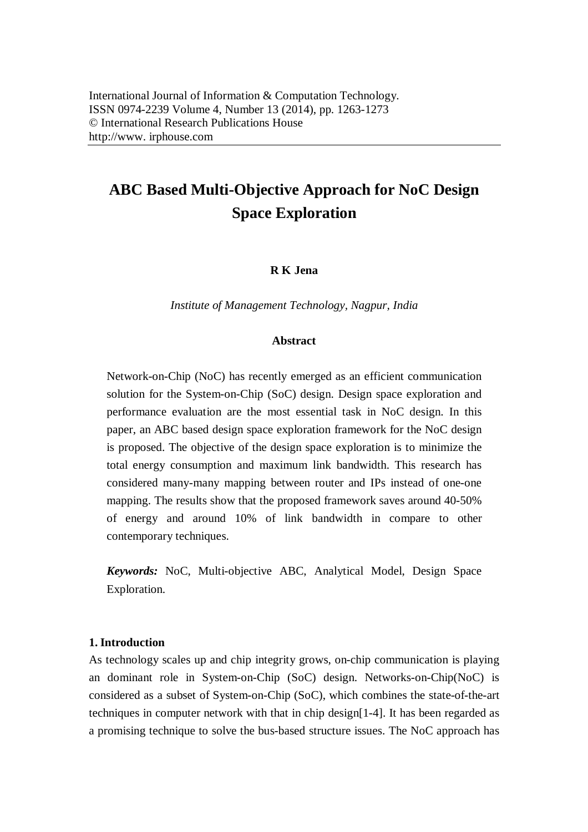# **ABC Based Multi-Objective Approach for NoC Design Space Exploration**

## **R K Jena**

*Institute of Management Technology, Nagpur, India*

### **Abstract**

Network-on-Chip (NoC) has recently emerged as an efficient communication solution for the System-on-Chip (SoC) design. Design space exploration and performance evaluation are the most essential task in NoC design. In this paper, an ABC based design space exploration framework for the NoC design is proposed. The objective of the design space exploration is to minimize the total energy consumption and maximum link bandwidth. This research has considered many-many mapping between router and IPs instead of one-one mapping. The results show that the proposed framework saves around 40-50% of energy and around 10% of link bandwidth in compare to other contemporary techniques.

*Keywords:* NoC, Multi-objective ABC, Analytical Model, Design Space Exploration.

### **1. Introduction**

As technology scales up and chip integrity grows, on-chip communication is playing an dominant role in System-on-Chip (SoC) design. Networks-on-Chip(NoC) is considered as a subset of System-on-Chip (SoC), which combines the state-of-the-art techniques in computer network with that in chip design[1-4]. It has been regarded as a promising technique to solve the bus-based structure issues. The NoC approach has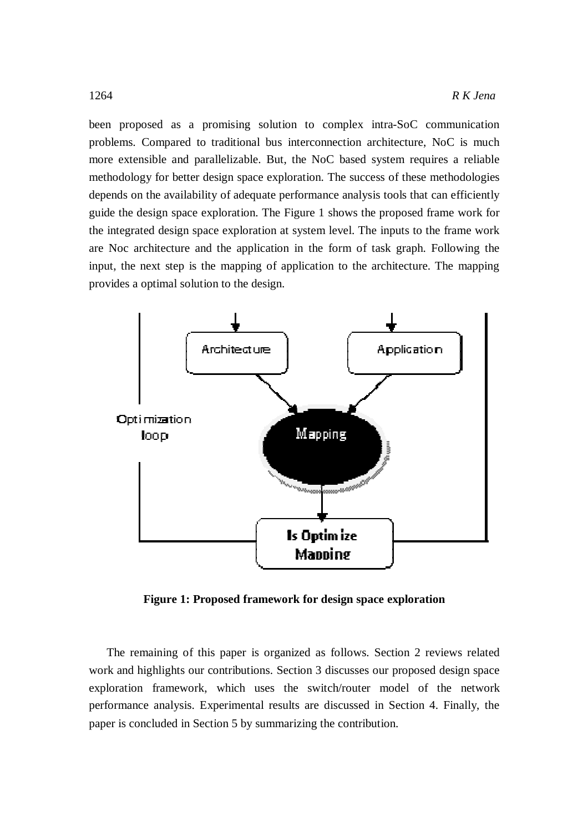been proposed as a promising solution to complex intra-SoC communication problems. Compared to traditional bus interconnection architecture, NoC is much more extensible and parallelizable. But, the NoC based system requires a reliable methodology for better design space exploration. The success of these methodologies depends on the availability of adequate performance analysis tools that can efficiently guide the design space exploration. The Figure 1 shows the proposed frame work for the integrated design space exploration at system level. The inputs to the frame work are Noc architecture and the application in the form of task graph. Following the input, the next step is the mapping of application to the architecture. The mapping provides a optimal solution to the design.



**Figure 1: Proposed framework for design space exploration**

The remaining of this paper is organized as follows. Section 2 reviews related work and highlights our contributions. Section 3 discusses our proposed design space exploration framework, which uses the switch/router model of the network performance analysis. Experimental results are discussed in Section 4. Finally, the paper is concluded in Section 5 by summarizing the contribution.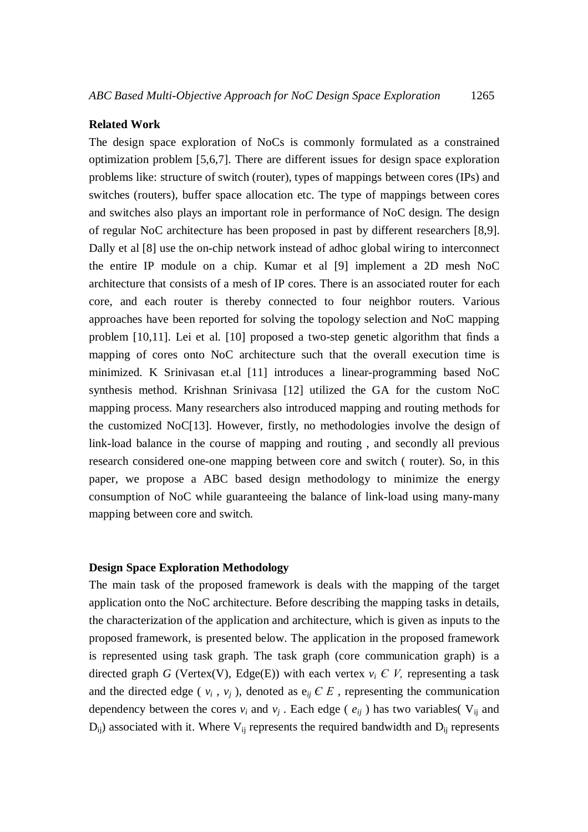# **Related Work**

The design space exploration of NoCs is commonly formulated as a constrained optimization problem [5,6,7]. There are different issues for design space exploration problems like: structure of switch (router), types of mappings between cores (IPs) and switches (routers), buffer space allocation etc. The type of mappings between cores and switches also plays an important role in performance of NoC design. The design of regular NoC architecture has been proposed in past by different researchers [8,9]. Dally et al [8] use the on-chip network instead of adhoc global wiring to interconnect the entire IP module on a chip. Kumar et al [9] implement a 2D mesh NoC architecture that consists of a mesh of IP cores. There is an associated router for each core, and each router is thereby connected to four neighbor routers. Various approaches have been reported for solving the topology selection and NoC mapping problem [10,11]. Lei et al. [10] proposed a two-step genetic algorithm that finds a mapping of cores onto NoC architecture such that the overall execution time is minimized. K Srinivasan et.al [11] introduces a linear-programming based NoC synthesis method. Krishnan Srinivasa [12] utilized the GA for the custom NoC mapping process. Many researchers also introduced mapping and routing methods for the customized NoC[13]. However, firstly, no methodologies involve the design of link-load balance in the course of mapping and routing , and secondly all previous research considered one-one mapping between core and switch ( router). So, in this paper, we propose a ABC based design methodology to minimize the energy consumption of NoC while guaranteeing the balance of link-load using many-many mapping between core and switch.

# **Design Space Exploration Methodology**

The main task of the proposed framework is deals with the mapping of the target application onto the NoC architecture. Before describing the mapping tasks in details, the characterization of the application and architecture, which is given as inputs to the proposed framework, is presented below. The application in the proposed framework is represented using task graph. The task graph (core communication graph) is a directed graph *G* (Vertex(V), Edge(E)) with each vertex  $v_i \in V$ , representing a task and the directed edge ( $v_i$ ,  $v_j$ ), denoted as  $e_{ij} \in E$ , representing the communication dependency between the cores  $v_i$  and  $v_j$ . Each edge ( $e_{ij}$ ) has two variables( $V_{ij}$  and  $D_{ij}$ ) associated with it. Where  $V_{ij}$  represents the required bandwidth and  $D_{ij}$  represents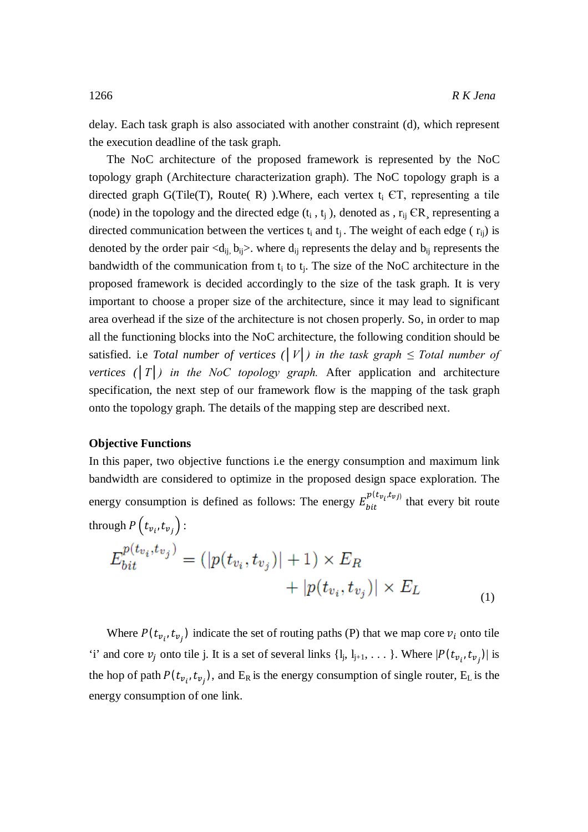delay. Each task graph is also associated with another constraint (d), which represent the execution deadline of the task graph.

The NoC architecture of the proposed framework is represented by the NoC topology graph (Architecture characterization graph). The NoC topology graph is a directed graph G(Tile(T), Route(R)).Where, each vertex  $t_i$  CT, representing a tile (node) in the topology and the directed edge  $(t_i, t_i)$ , denoted as ,  $r_{ii}$  CR, representing a directed communication between the vertices  $t_i$  and  $t_i$ . The weight of each edge ( $r_{ii}$ ) is denoted by the order pair  $\langle d_{ii}, b_{ii} \rangle$ . where  $d_{ij}$  represents the delay and  $b_{ij}$  represents the bandwidth of the communication from  $t_i$  to  $t_i$ . The size of the NoC architecture in the proposed framework is decided accordingly to the size of the task graph. It is very important to choose a proper size of the architecture, since it may lead to significant area overhead if the size of the architecture is not chosen properly. So, in order to map all the functioning blocks into the NoC architecture, the following condition should be satisfied. i.e *Total number of vertices*  $(|V|)$  *in the task graph*  $\le$  *Total number of vertices (│T│) in the NoC topology graph.* After application and architecture specification, the next step of our framework flow is the mapping of the task graph onto the topology graph. The details of the mapping step are described next.

### **Objective Functions**

In this paper, two objective functions i.e the energy consumption and maximum link bandwidth are considered to optimize in the proposed design space exploration. The energy consumption is defined as follows: The energy  $E_{bit}^{p(t_{\nu_i}, t_{\nu_j})}$  that every bit route through  $P\left(t_{\boldsymbol{\nu}_i\cdot}\,t_{\boldsymbol{\nu}_j}\right)$  :

$$
E_{bit}^{p(t_{v_i}, t_{v_j})} = (|p(t_{v_i}, t_{v_j})| + 1) \times E_R + |p(t_{v_i}, t_{v_j})| \times E_L
$$
\n(1)

Where  $P(t_{\nu_i}, t_{\nu_j})$  indicate the set of routing paths (P) that we map core  $\nu_i$  onto tile 'i' and core  $v_j$  onto tile j. It is a set of several links  $\{l_j, l_{j+1}, \ldots\}$ . Where  $|P(t_{v_i}, t_{v_j})|$  is the hop of path  $P(t_{\nu_i}, t_{\nu_j})$ , and  $E_R$  is the energy consumption of single router,  $E_L$  is the energy consumption of one link.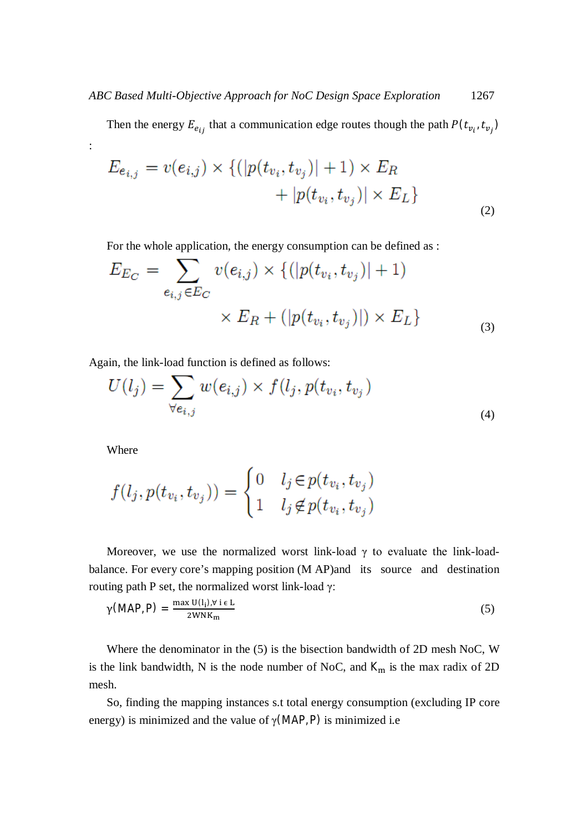Then the energy  $E_{e_{ij}}$  that a communication edge routes though the path  $P(t_{v_i}, t_{v_j})$ 

$$
E_{e_{i,j}} = v(e_{i,j}) \times \{ (|p(t_{v_i}, t_{v_j})| + 1) \times E_R + |p(t_{v_i}, t_{v_j})| \times E_L \}
$$
\n(2)

For the whole application, the energy consumption can be defined as :

$$
E_{E_C} = \sum_{e_{i,j} \in E_C} v(e_{i,j}) \times \{ (|p(t_{v_i}, t_{v_j})| + 1) \times E_L \} \times E_R + (|p(t_{v_i}, t_{v_j})|) \times E_L \}
$$
\n(3)

Again, the link-load function is defined as follows:

$$
U(l_j) = \sum_{\forall e_{i,j}} w(e_{i,j}) \times f(l_j, p(t_{v_i}, t_{v_j}))
$$
\n<sup>(4)</sup>

Where

:

$$
f(l_j, p(t_{v_i}, t_{v_j})) = \begin{cases} 0 & l_j \in p(t_{v_i}, t_{v_j}) \\ 1 & l_j \notin p(t_{v_i}, t_{v_j}) \end{cases}
$$

Moreover, we use the normalized worst link-load  $\gamma$  to evaluate the link-loadbalance. For every core's mapping position (M AP)and its source and destination routing path P set, the normalized worst link-load γ:

$$
\gamma(\text{MAP}, P) = \frac{\max U(l_i), \forall i \in L}{2\text{WNK}_{\text{m}}} \tag{5}
$$

Where the denominator in the (5) is the bisection bandwidth of 2D mesh NoC, W is the link bandwidth, N is the node number of NoC, and  $K_m$  is the max radix of 2D mesh.

So, finding the mapping instances s.t total energy consumption (excluding IP core energy) is minimized and the value of  $\gamma$ (MAP, P) is minimized i.e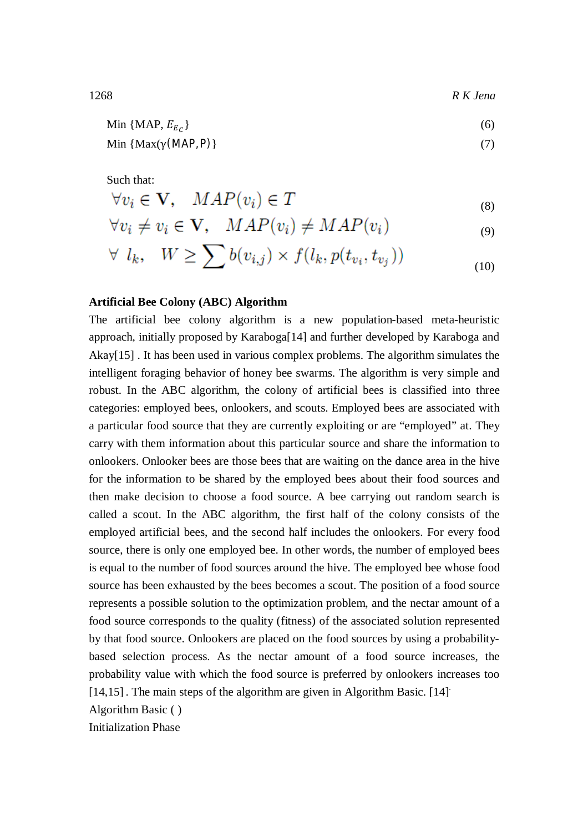1268 *R K Jena*

Min {MAP, 
$$
E_{E_C}
$$
}  
Min {Max( $\gamma$ (MAP, P)} (7)

Such that:

$$
\forall v_i \in \mathbf{V}, \quad MAP(v_i) \in T \tag{8}
$$

$$
\forall v_i \neq v_i \in \mathbf{V}, \quad MAP(v_i) \neq MAP(v_i) \tag{9}
$$

$$
\forall l_k, \quad W \ge \sum b(v_{i,j}) \times f(l_k, p(t_{v_i}, t_{v_j})) \tag{10}
$$

#### **Artificial Bee Colony (ABC) Algorithm**

The artificial bee colony algorithm is a new population-based meta-heuristic approach, initially proposed by Karaboga[14] and further developed by Karaboga and Akay[15] . It has been used in various complex problems. The algorithm simulates the intelligent foraging behavior of honey bee swarms. The algorithm is very simple and robust. In the ABC algorithm, the colony of artificial bees is classified into three categories: employed bees, onlookers, and scouts. Employed bees are associated with a particular food source that they are currently exploiting or are "employed" at. They carry with them information about this particular source and share the information to onlookers. Onlooker bees are those bees that are waiting on the dance area in the hive for the information to be shared by the employed bees about their food sources and then make decision to choose a food source. A bee carrying out random search is called a scout. In the ABC algorithm, the first half of the colony consists of the employed artificial bees, and the second half includes the onlookers. For every food source, there is only one employed bee. In other words, the number of employed bees is equal to the number of food sources around the hive. The employed bee whose food source has been exhausted by the bees becomes a scout. The position of a food source represents a possible solution to the optimization problem, and the nectar amount of a food source corresponds to the quality (fitness) of the associated solution represented by that food source. Onlookers are placed on the food sources by using a probabilitybased selection process. As the nectar amount of a food source increases, the probability value with which the food source is preferred by onlookers increases too [14,15]. The main steps of the algorithm are given in Algorithm Basic. [14]. Algorithm Basic ( ) Initialization Phase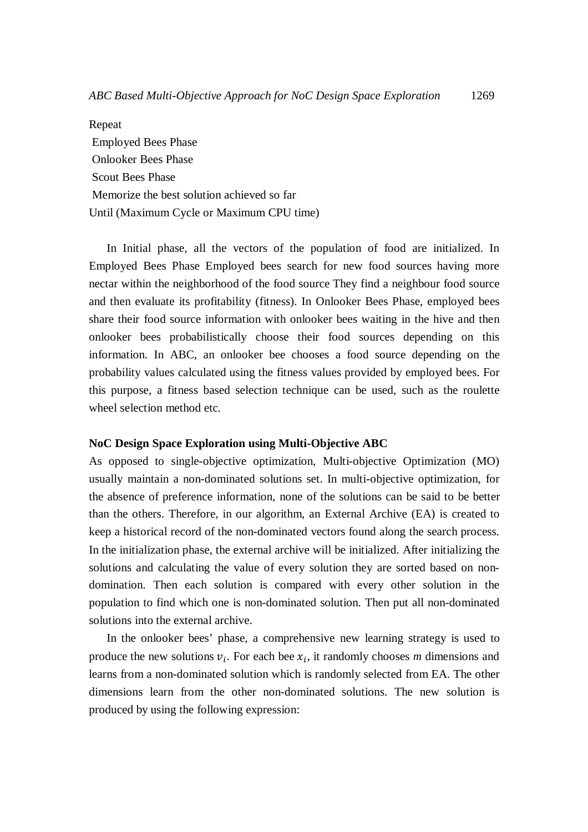Repeat Employed Bees Phase Onlooker Bees Phase Scout Bees Phase Memorize the best solution achieved so far Until (Maximum Cycle or Maximum CPU time)

In Initial phase, all the vectors of the population of food are initialized. In Employed Bees Phase Employed bees search for new food sources having more nectar within the neighborhood of the food source They find a neighbour food source and then evaluate its profitability (fitness). In Onlooker Bees Phase, employed bees share their food source information with onlooker bees waiting in the hive and then onlooker bees probabilistically choose their food sources depending on this information. In ABC, an onlooker bee chooses a food source depending on the probability values calculated using the fitness values provided by employed bees. For this purpose, a fitness based selection technique can be used, such as the roulette wheel selection method etc.

### **NoC Design Space Exploration using Multi-Objective ABC**

As opposed to single-objective optimization, Multi-objective Optimization (MO) usually maintain a non-dominated solutions set. In multi-objective optimization, for the absence of preference information, none of the solutions can be said to be better than the others. Therefore, in our algorithm, an External Archive (EA) is created to keep a historical record of the non-dominated vectors found along the search process. In the initialization phase, the external archive will be initialized. After initializing the solutions and calculating the value of every solution they are sorted based on nondomination. Then each solution is compared with every other solution in the population to find which one is non-dominated solution. Then put all non-dominated solutions into the external archive.

In the onlooker bees' phase, a comprehensive new learning strategy is used to produce the new solutions  $v_i$ . For each bee  $x_i$ , it randomly chooses m dimensions and learns from a non-dominated solution which is randomly selected from EA. The other dimensions learn from the other non-dominated solutions. The new solution is produced by using the following expression: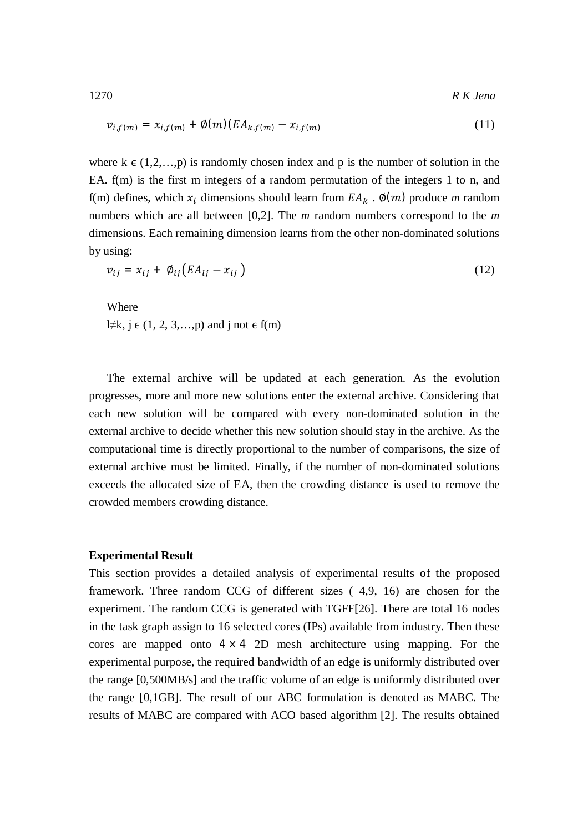1270 *R K Jena*

$$
v_{i,f(m)} = x_{i,f(m)} + \phi(m)(EA_{k,f(m)} - x_{i,f(m)} \tag{11}
$$

where  $k \in (1,2,...,p)$  is randomly chosen index and p is the number of solution in the EA. f(m) is the first m integers of a random permutation of the integers 1 to n, and f(m) defines, which  $x_i$  dimensions should learn from  $EA_k$ .  $\phi(m)$  produce *m* random numbers which are all between [0,2]. The *m* random numbers correspond to the *m*  dimensions. Each remaining dimension learns from the other non-dominated solutions by using:

$$
v_{ij} = x_{ij} + \phi_{ij} (EA_{lj} - x_{ij})
$$
\n(12)

Where

l≠k, j  $\in$  (1, 2, 3, ..., p) and j not  $\in$  f(m)

The external archive will be updated at each generation. As the evolution progresses, more and more new solutions enter the external archive. Considering that each new solution will be compared with every non-dominated solution in the external archive to decide whether this new solution should stay in the archive. As the computational time is directly proportional to the number of comparisons, the size of external archive must be limited. Finally, if the number of non-dominated solutions exceeds the allocated size of EA, then the crowding distance is used to remove the crowded members crowding distance.

#### **Experimental Result**

This section provides a detailed analysis of experimental results of the proposed framework. Three random CCG of different sizes ( 4,9, 16) are chosen for the experiment. The random CCG is generated with TGFF[26]. There are total 16 nodes in the task graph assign to 16 selected cores (IPs) available from industry. Then these cores are mapped onto  $4 \times 4$  2D mesh architecture using mapping. For the experimental purpose, the required bandwidth of an edge is uniformly distributed over the range [0,500MB/s] and the traffic volume of an edge is uniformly distributed over the range [0,1GB]. The result of our ABC formulation is denoted as MABC. The results of MABC are compared with ACO based algorithm [2]. The results obtained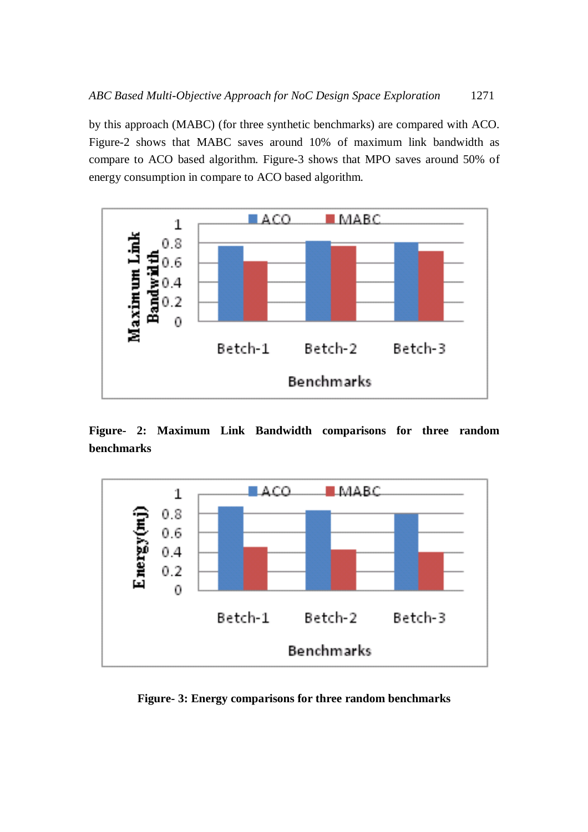by this approach (MABC) (for three synthetic benchmarks) are compared with ACO. Figure-2 shows that MABC saves around 10% of maximum link bandwidth as compare to ACO based algorithm. Figure-3 shows that MPO saves around 50% of energy consumption in compare to ACO based algorithm.



**Figure- 2: Maximum Link Bandwidth comparisons for three random benchmarks**



**Figure- 3: Energy comparisons for three random benchmarks**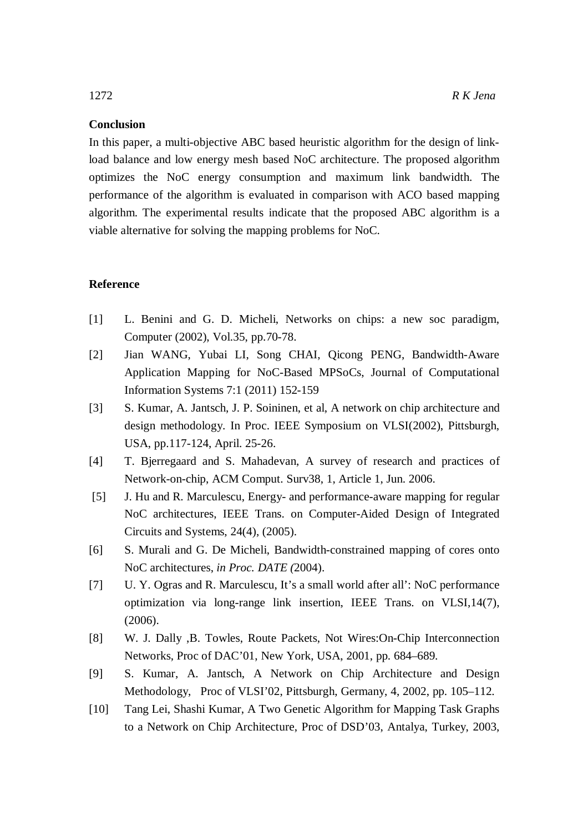# **Conclusion**

In this paper, a multi-objective ABC based heuristic algorithm for the design of linkload balance and low energy mesh based NoC architecture. The proposed algorithm optimizes the NoC energy consumption and maximum link bandwidth. The performance of the algorithm is evaluated in comparison with ACO based mapping algorithm. The experimental results indicate that the proposed ABC algorithm is a viable alternative for solving the mapping problems for NoC.

# **Reference**

- [1] L. Benini and G. D. Micheli, Networks on chips: a new soc paradigm, Computer (2002), Vol.35, pp.70-78.
- [2] Jian WANG, Yubai LI, Song CHAI, Qicong PENG, Bandwidth-Aware Application Mapping for NoC-Based MPSoCs, Journal of Computational Information Systems 7:1 (2011) 152-159
- [3] S. Kumar, A. Jantsch, J. P. Soininen, et al, A network on chip architecture and design methodology. In Proc. IEEE Symposium on VLSI(2002), Pittsburgh, USA, pp.117-124, April. 25-26.
- [4] T. Bjerregaard and S. Mahadevan, A survey of research and practices of Network-on-chip, ACM Comput. Surv38, 1, Article 1, Jun. 2006.
- [5] J. Hu and R. Marculescu, Energy- and performance-aware mapping for regular NoC architectures, IEEE Trans. on Computer-Aided Design of Integrated Circuits and Systems, 24(4), (2005).
- [6] S. Murali and G. De Micheli, Bandwidth-constrained mapping of cores onto NoC architectures, *in Proc. DATE (*2004).
- [7] U. Y. Ogras and R. Marculescu, It's a small world after all': NoC performance optimization via long-range link insertion, IEEE Trans. on VLSI,14(7), (2006).
- [8] W. J. Dally ,B. Towles, Route Packets, Not Wires:On-Chip Interconnection Networks, Proc of DAC'01, New York, USA, 2001, pp. 684–689.
- [9] S. Kumar, A. Jantsch, A Network on Chip Architecture and Design Methodology, Proc of VLSI'02, Pittsburgh, Germany, 4, 2002, pp. 105–112.
- [10] Tang Lei, Shashi Kumar, A Two Genetic Algorithm for Mapping Task Graphs to a Network on Chip Architecture, Proc of DSD'03, Antalya, Turkey, 2003,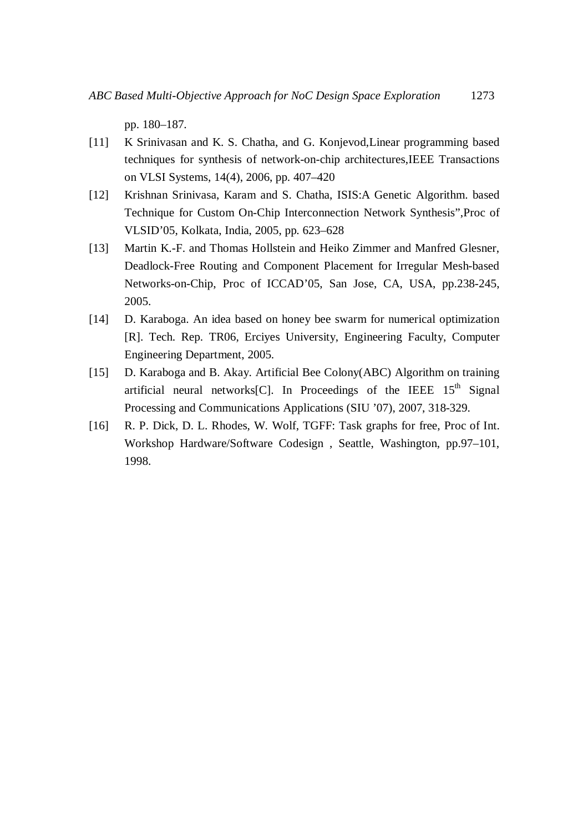pp. 180–187.

- [11] K Srinivasan and K. S. Chatha, and G. Konjevod, Linear programming based techniques for synthesis of network-on-chip architectures,IEEE Transactions on VLSI Systems, 14(4), 2006, pp. 407–420
- [12] Krishnan Srinivasa, Karam and S. Chatha, ISIS:A Genetic Algorithm. based Technique for Custom On-Chip Interconnection Network Synthesis",Proc of VLSID'05, Kolkata, India, 2005, pp. 623–628
- [13] Martin K.-F. and Thomas Hollstein and Heiko Zimmer and Manfred Glesner, Deadlock-Free Routing and Component Placement for Irregular Mesh-based Networks-on-Chip, Proc of ICCAD'05, San Jose, CA, USA, pp.238-245, 2005.
- [14] D. Karaboga. An idea based on honey bee swarm for numerical optimization [R]. Tech. Rep. TR06, Erciyes University, Engineering Faculty, Computer Engineering Department, 2005.
- [15] D. Karaboga and B. Akay. Artificial Bee Colony(ABC) Algorithm on training artificial neural networks $[**C**]$ . In Proceedings of the IEEE  $15<sup>th</sup>$  Signal Processing and Communications Applications (SIU '07), 2007, 318-329.
- [16] R. P. Dick, D. L. Rhodes, W. Wolf, TGFF: Task graphs for free, Proc of Int. Workshop Hardware/Software Codesign , Seattle, Washington, pp.97–101, 1998.